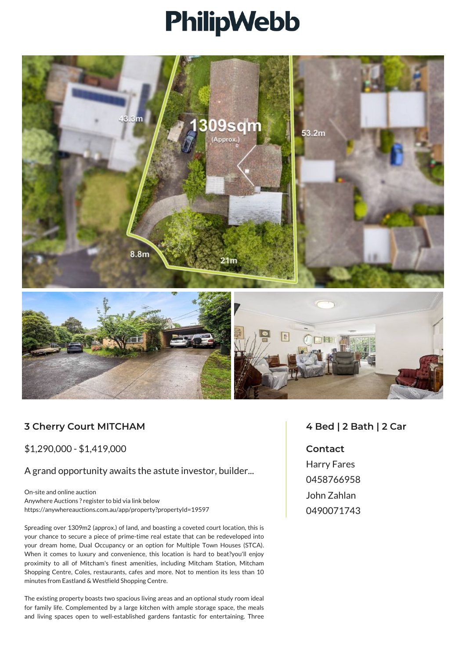## **PhilipWebb**



## **3 Cherry Court MITCHAM**

\$1,290,000 - \$1,419,000

A grand opportunity awaits the astute investor, builder...

On-site and online auction Anywhere Auctions ? register to bid via link below https://anywhereauctions.com.au/app/property?propertyId=19597

Spreading over 1309m2 (approx.) of land, and boasting a coveted court location, this is your chance to secure a piece of prime-time real estate that can be redeveloped into your dream home, Dual Occupancy or an option for Multiple Town Houses (STCA). When it comes to luxury and convenience, this location is hard to beat?you'll enjoy proximity to all of Mitcham's finest amenities, including Mitcham Station, Mitcham Shopping Centre, Coles, restaurants, cafes and more. Not to mention its less than 10 minutes from Eastland & Westfield Shopping Centre.

The existing property boasts two spacious living areas and an optional study room ideal for family life. Complemented by a large kitchen with ample storage space, the meals and living spaces open to well-established gardens fantastic for entertaining. Three

## **4 Bed | 2 Bath | 2 Car**

**Contact**

Harry Fares 0458766958 John Zahlan 0490071743